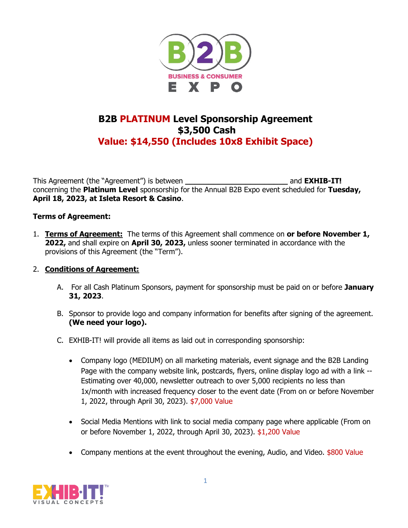

## **B2B PLATINUM Level Sponsorship Agreement \$3,500 Cash Value: \$14,550 (Includes 10x8 Exhibit Space)**

This Agreement (the "Agreement") is between **\_\_\_\_\_\_\_\_\_\_\_\_\_\_\_\_\_\_\_\_\_\_** and **EXHIB-IT!**  concerning the **Platinum Level** sponsorship for the Annual B2B Expo event scheduled for **Tuesday, April 18, 2023, at Isleta Resort & Casino**.

## **Terms of Agreement:**

1. **Terms of Agreement:** The terms of this Agreement shall commence on **or before November 1, 2022,** and shall expire on **April 30, 2023,** unless sooner terminated in accordance with the provisions of this Agreement (the "Term").

## 2. **Conditions of Agreement:**

- A. For all Cash Platinum Sponsors, payment for sponsorship must be paid on or before **January 31, 2023**.
- B. Sponsor to provide logo and company information for benefits after signing of the agreement. **(We need your logo).**
- C. EXHIB-IT! will provide all items as laid out in corresponding sponsorship:
	- Company logo (MEDIUM) on all marketing materials, event signage and the B2B Landing Page with the company website link, postcards, flyers, online display logo ad with a link -- Estimating over 40,000, newsletter outreach to over 5,000 recipients no less than 1x/month with increased frequency closer to the event date (From on or before November 1, 2022, through April 30, 2023). \$7,000 Value
	- Social Media Mentions with link to social media company page where applicable (From on or before November 1, 2022, through April 30, 2023). \$1,200 Value
	- Company mentions at the event throughout the evening, Audio, and Video. \$800 Value